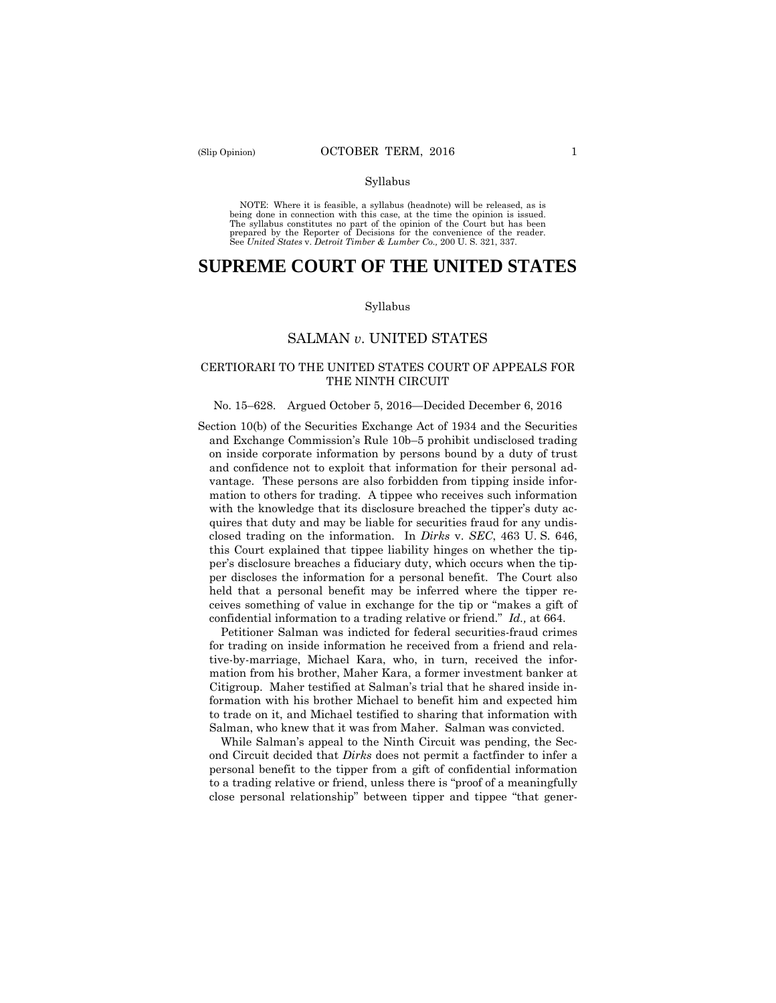#### Syllabus

 NOTE: Where it is feasible, a syllabus (headnote) will be released, as is being done in connection with this case, at the time the opinion is issued. The syllabus constitutes no part of the opinion of the Court but has been<br>prepared by the Reporter of Decisions for the convenience of the reader.<br>See United States v. Detroit Timber & Lumber Co., 200 U.S. 321, 337.

# **SUPREME COURT OF THE UNITED STATES**

#### Syllabus

# SALMAN *v*. UNITED STATES

## CERTIORARI TO THE UNITED STATES COURT OF APPEALS FOR THE NINTH CIRCUIT

#### No. 15–628. Argued October 5, 2016—Decided December 6, 2016

Section 10(b) of the Securities Exchange Act of 1934 and the Securities and Exchange Commission's Rule 10b–5 prohibit undisclosed trading on inside corporate information by persons bound by a duty of trust and confidence not to exploit that information for their personal advantage. These persons are also forbidden from tipping inside information to others for trading. A tippee who receives such information with the knowledge that its disclosure breached the tipper's duty acquires that duty and may be liable for securities fraud for any undisclosed trading on the information. In *Dirks* v. *SEC*, 463 U. S. 646, this Court explained that tippee liability hinges on whether the tipper's disclosure breaches a fiduciary duty, which occurs when the tipper discloses the information for a personal benefit. The Court also held that a personal benefit may be inferred where the tipper receives something of value in exchange for the tip or "makes a gift of confidential information to a trading relative or friend." *Id.,* at 664.

Salman, who knew that it was from Maher. Salman was convicted. Petitioner Salman was indicted for federal securities-fraud crimes for trading on inside information he received from a friend and relative-by-marriage, Michael Kara, who, in turn, received the information from his brother, Maher Kara, a former investment banker at Citigroup. Maher testified at Salman's trial that he shared inside information with his brother Michael to benefit him and expected him to trade on it, and Michael testified to sharing that information with

While Salman's appeal to the Ninth Circuit was pending, the Second Circuit decided that *Dirks* does not permit a factfinder to infer a personal benefit to the tipper from a gift of confidential information to a trading relative or friend, unless there is "proof of a meaningfully close personal relationship" between tipper and tippee "that gener-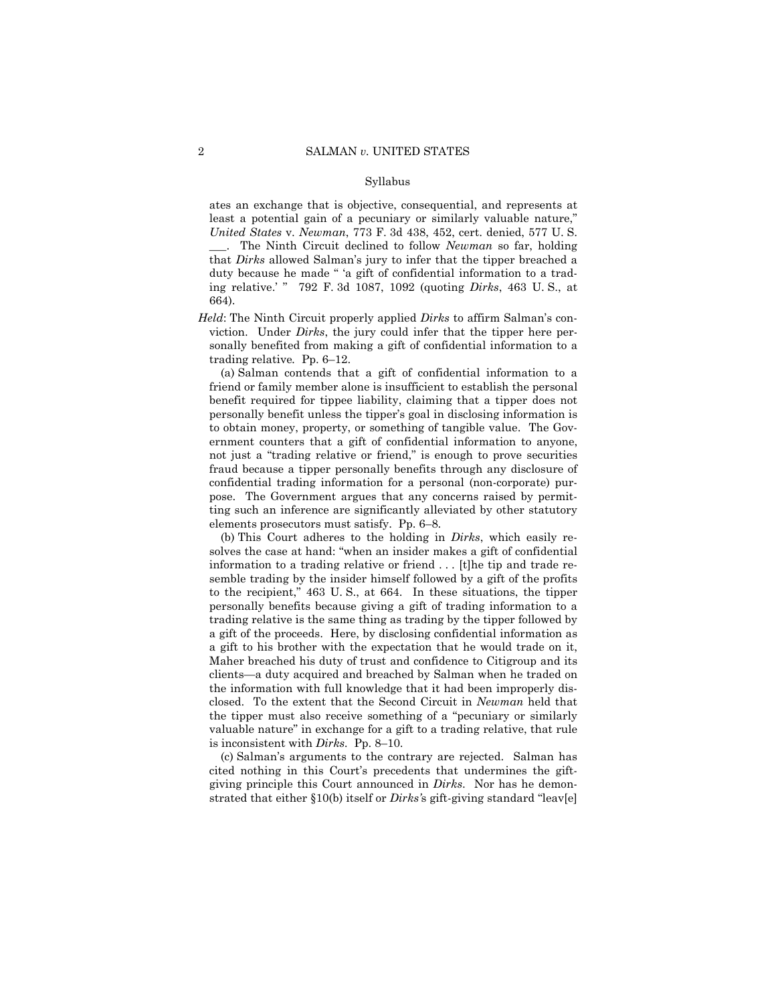#### Syllabus

ates an exchange that is objective, consequential, and represents at least a potential gain of a pecuniary or similarly valuable nature," *United States* v. *Newman*, 773 F. 3d 438, 452, cert. denied, 577 U. S. \_\_\_. The Ninth Circuit declined to follow *Newman* so far, holding that *Dirks* allowed Salman's jury to infer that the tipper breached a duty because he made " 'a gift of confidential information to a trading relative.' " 792 F. 3d 1087, 1092 (quoting *Dirks*, 463 U. S., at 664).

*Held*: The Ninth Circuit properly applied *Dirks* to affirm Salman's conviction. Under *Dirks*, the jury could infer that the tipper here personally benefited from making a gift of confidential information to a trading relative*.* Pp. 6–12.

 (a) Salman contends that a gift of confidential information to a friend or family member alone is insufficient to establish the personal benefit required for tippee liability, claiming that a tipper does not personally benefit unless the tipper's goal in disclosing information is to obtain money, property, or something of tangible value. The Government counters that a gift of confidential information to anyone, not just a "trading relative or friend," is enough to prove securities fraud because a tipper personally benefits through any disclosure of confidential trading information for a personal (non-corporate) purpose. The Government argues that any concerns raised by permitting such an inference are significantly alleviated by other statutory elements prosecutors must satisfy. Pp. 6–8.

 (b) This Court adheres to the holding in *Dirks*, which easily resolves the case at hand: "when an insider makes a gift of confidential information to a trading relative or friend . . . [t]he tip and trade resemble trading by the insider himself followed by a gift of the profits to the recipient," 463 U. S., at 664. In these situations, the tipper personally benefits because giving a gift of trading information to a trading relative is the same thing as trading by the tipper followed by a gift of the proceeds. Here, by disclosing confidential information as a gift to his brother with the expectation that he would trade on it, Maher breached his duty of trust and confidence to Citigroup and its clients—a duty acquired and breached by Salman when he traded on the information with full knowledge that it had been improperly disclosed. To the extent that the Second Circuit in *Newman* held that the tipper must also receive something of a "pecuniary or similarly valuable nature" in exchange for a gift to a trading relative, that rule is inconsistent with *Dirks.* Pp. 8–10.

(c) Salman's arguments to the contrary are rejected. Salman has cited nothing in this Court's precedents that undermines the giftgiving principle this Court announced in *Dirks*. Nor has he demonstrated that either §10(b) itself or *Dirks'*s gift-giving standard "leav[e]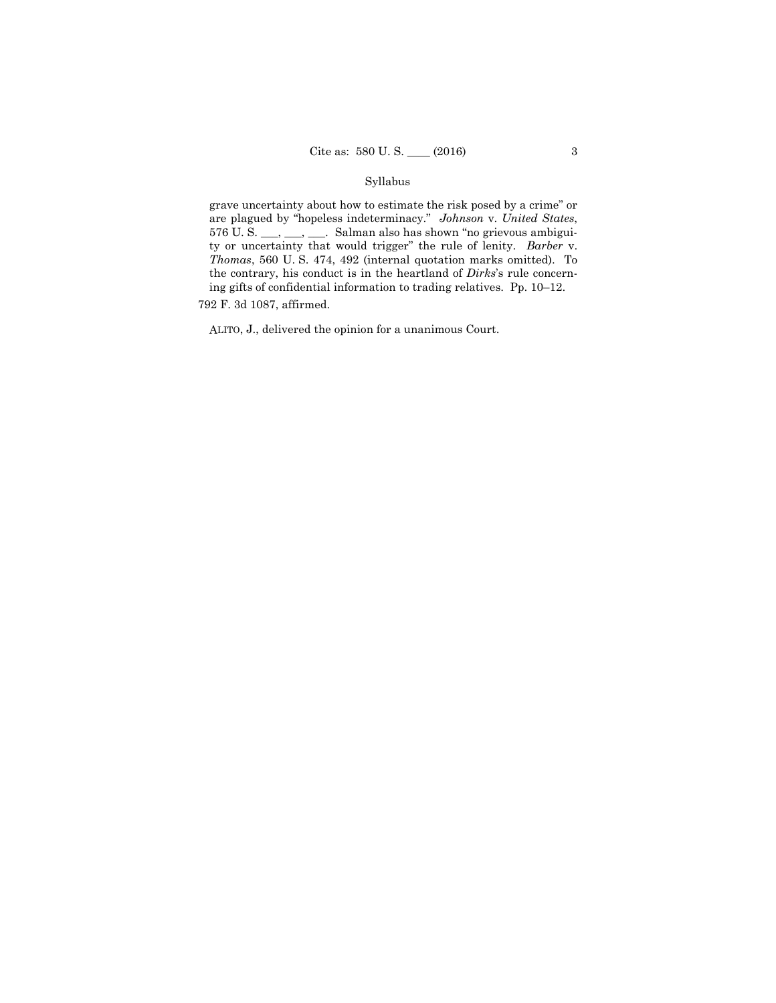### Syllabus

grave uncertainty about how to estimate the risk posed by a crime" or are plagued by "hopeless indeterminacy." *Johnson* v. *United States*, 576 U. S. \_\_\_, \_\_\_, \_\_\_. Salman also has shown "no grievous ambiguity or uncertainty that would trigger" the rule of lenity. *Barber* v. *Thomas*, 560 U. S. 474, 492 (internal quotation marks omitted). To the contrary, his conduct is in the heartland of *Dirks*'s rule concerning gifts of confidential information to trading relatives. Pp. 10–12.

792 F. 3d 1087, affirmed.

ALITO, J., delivered the opinion for a unanimous Court.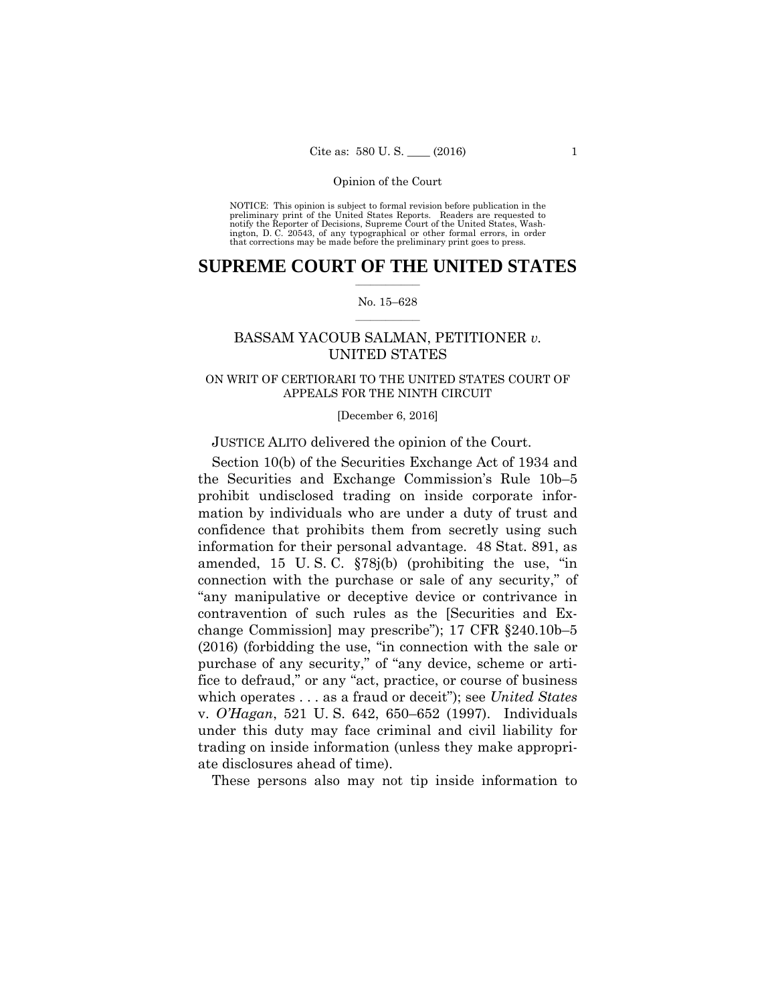preliminary print of the United States Reports. Readers are requested to notify the Reporter of Decisions, Supreme Court of the United States, Wash- ington, D. C. 20543, of any typographical or other formal errors, in order that corrections may be made before the preliminary print goes to press. NOTICE: This opinion is subject to formal revision before publication in the

### $\frac{1}{2}$  , where  $\frac{1}{2}$ **SUPREME COURT OF THE UNITED STATES**

#### $\frac{1}{2}$  ,  $\frac{1}{2}$  ,  $\frac{1}{2}$  ,  $\frac{1}{2}$  ,  $\frac{1}{2}$  ,  $\frac{1}{2}$ No. 15–628

# BASSAM YACOUB SALMAN, PETITIONER *v.* UNITED STATES

## ON WRIT OF CERTIORARI TO THE UNITED STATES COURT OF APPEALS FOR THE NINTH CIRCUIT

#### [December 6, 2016]

### JUSTICE ALITO delivered the opinion of the Court.

Section 10(b) of the Securities Exchange Act of 1934 and the Securities and Exchange Commission's Rule 10b–5 prohibit undisclosed trading on inside corporate information by individuals who are under a duty of trust and confidence that prohibits them from secretly using such information for their personal advantage. 48 Stat. 891, as amended, 15 U. S. C. §78j(b) (prohibiting the use, "in connection with the purchase or sale of any security," of "any manipulative or deceptive device or contrivance in contravention of such rules as the [Securities and Exchange Commission] may prescribe"); 17 CFR §240.10b–5 (2016) (forbidding the use, "in connection with the sale or purchase of any security," of "any device, scheme or artifice to defraud," or any "act, practice, or course of business which operates . . . as a fraud or deceit"); see *United States*  v. *O'Hagan*, 521 U. S. 642, 650–652 (1997). Individuals under this duty may face criminal and civil liability for trading on inside information (unless they make appropriate disclosures ahead of time).

These persons also may not tip inside information to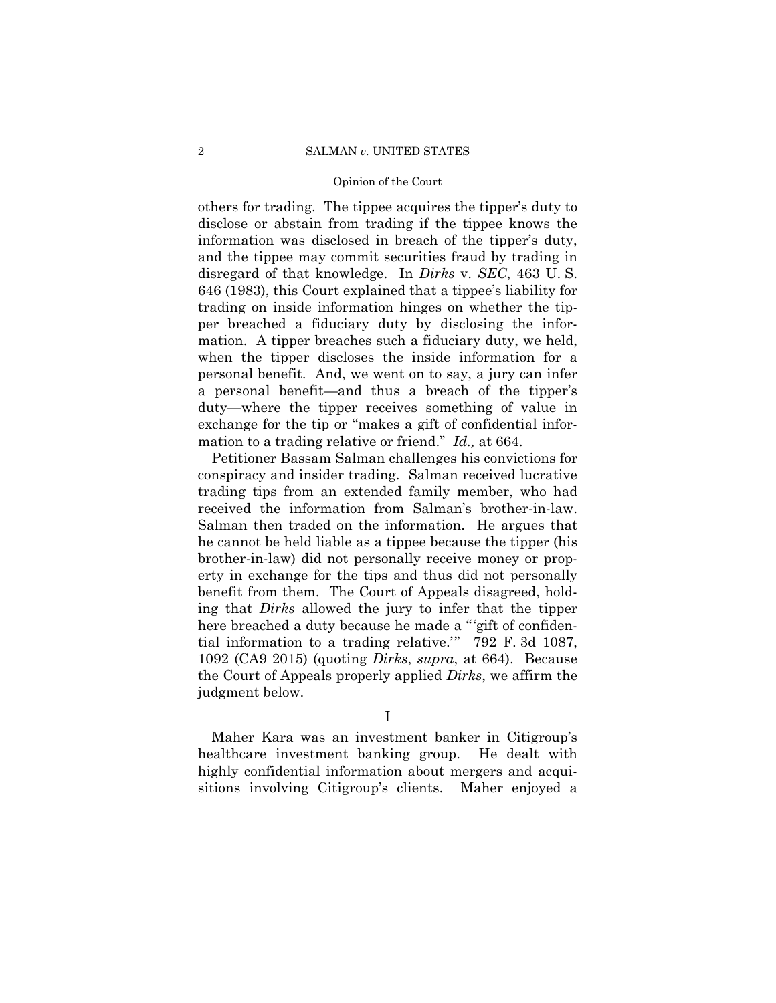others for trading. The tippee acquires the tipper's duty to disclose or abstain from trading if the tippee knows the information was disclosed in breach of the tipper's duty, and the tippee may commit securities fraud by trading in disregard of that knowledge. In *Dirks* v. *SEC*, 463 U. S. 646 (1983), this Court explained that a tippee's liability for trading on inside information hinges on whether the tipper breached a fiduciary duty by disclosing the information. A tipper breaches such a fiduciary duty, we held, when the tipper discloses the inside information for a personal benefit. And, we went on to say, a jury can infer a personal benefit—and thus a breach of the tipper's duty—where the tipper receives something of value in exchange for the tip or "makes a gift of confidential information to a trading relative or friend." *Id.,* at 664.

 conspiracy and insider trading. Salman received lucrative Petitioner Bassam Salman challenges his convictions for trading tips from an extended family member, who had received the information from Salman's brother-in-law. Salman then traded on the information. He argues that he cannot be held liable as a tippee because the tipper (his brother-in-law) did not personally receive money or property in exchange for the tips and thus did not personally benefit from them. The Court of Appeals disagreed, holding that *Dirks* allowed the jury to infer that the tipper here breached a duty because he made a "'gift of confidential information to a trading relative.'" 792 F. 3d 1087, 1092 (CA9 2015) (quoting *Dirks*, *supra*, at 664). Because the Court of Appeals properly applied *Dirks*, we affirm the judgment below.

Maher Kara was an investment banker in Citigroup's healthcare investment banking group. He dealt with highly confidential information about mergers and acquisitions involving Citigroup's clients. Maher enjoyed a

I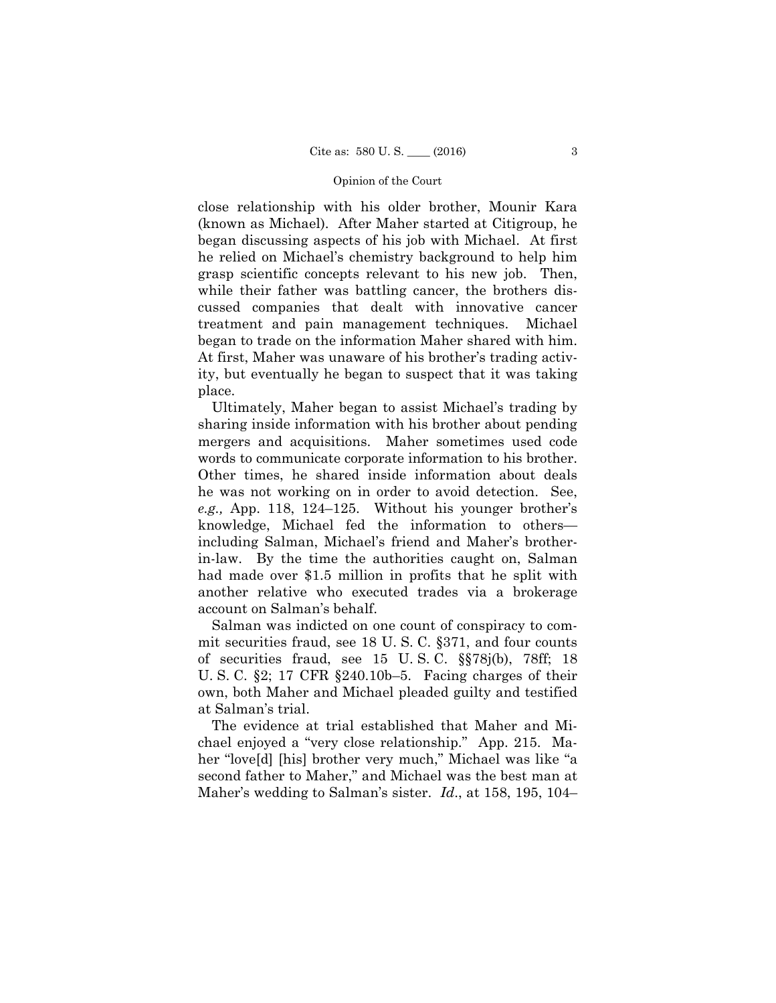close relationship with his older brother, Mounir Kara (known as Michael). After Maher started at Citigroup, he began discussing aspects of his job with Michael. At first he relied on Michael's chemistry background to help him grasp scientific concepts relevant to his new job. Then, while their father was battling cancer, the brothers discussed companies that dealt with innovative cancer treatment and pain management techniques. Michael began to trade on the information Maher shared with him. At first, Maher was unaware of his brother's trading activity, but eventually he began to suspect that it was taking place.

Ultimately, Maher began to assist Michael's trading by sharing inside information with his brother about pending mergers and acquisitions. Maher sometimes used code words to communicate corporate information to his brother. Other times, he shared inside information about deals he was not working on in order to avoid detection. See, *e.g.,* App. 118, 124–125. Without his younger brother's knowledge, Michael fed the information to others including Salman, Michael's friend and Maher's brotherin-law. By the time the authorities caught on, Salman had made over \$1.5 million in profits that he split with another relative who executed trades via a brokerage account on Salman's behalf.

Salman was indicted on one count of conspiracy to commit securities fraud, see 18 U. S. C. §371, and four counts of securities fraud, see 15 U. S. C. §§78j(b), 78ff; 18 U. S. C. §2; 17 CFR §240.10b–5. Facing charges of their own, both Maher and Michael pleaded guilty and testified at Salman's trial.

The evidence at trial established that Maher and Michael enjoyed a "very close relationship." App. 215. Maher "love[d] [his] brother very much," Michael was like "a second father to Maher," and Michael was the best man at Maher's wedding to Salman's sister. *Id*., at 158, 195, 104–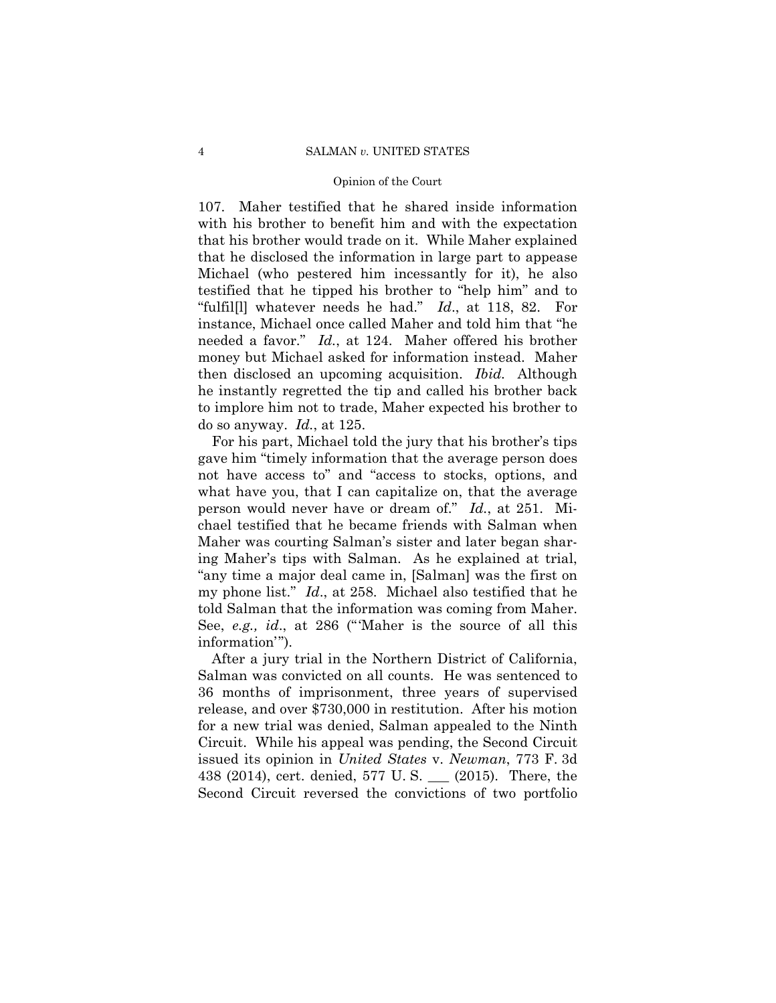"fulfil[l] whatever needs he had." *Id*., at 118, 82. For 107. Maher testified that he shared inside information with his brother to benefit him and with the expectation that his brother would trade on it. While Maher explained that he disclosed the information in large part to appease Michael (who pestered him incessantly for it), he also testified that he tipped his brother to "help him" and to instance, Michael once called Maher and told him that "he needed a favor." *Id.*, at 124. Maher offered his brother money but Michael asked for information instead. Maher then disclosed an upcoming acquisition. *Ibid.* Although he instantly regretted the tip and called his brother back to implore him not to trade, Maher expected his brother to do so anyway. *Id.*, at 125.

For his part, Michael told the jury that his brother's tips gave him "timely information that the average person does not have access to" and "access to stocks, options, and what have you, that I can capitalize on, that the average person would never have or dream of." *Id.*, at 251. Michael testified that he became friends with Salman when Maher was courting Salman's sister and later began sharing Maher's tips with Salman. As he explained at trial, "any time a major deal came in, [Salman] was the first on my phone list." *Id*., at 258. Michael also testified that he told Salman that the information was coming from Maher. See, *e.g., id*., at 286 ("'Maher is the source of all this information'").

After a jury trial in the Northern District of California, Salman was convicted on all counts. He was sentenced to 36 months of imprisonment, three years of supervised release, and over \$730,000 in restitution. After his motion for a new trial was denied, Salman appealed to the Ninth Circuit. While his appeal was pending, the Second Circuit issued its opinion in *United States* v. *Newman*, 773 F. 3d 438 (2014), cert. denied, 577 U. S. \_\_\_ (2015). There, the Second Circuit reversed the convictions of two portfolio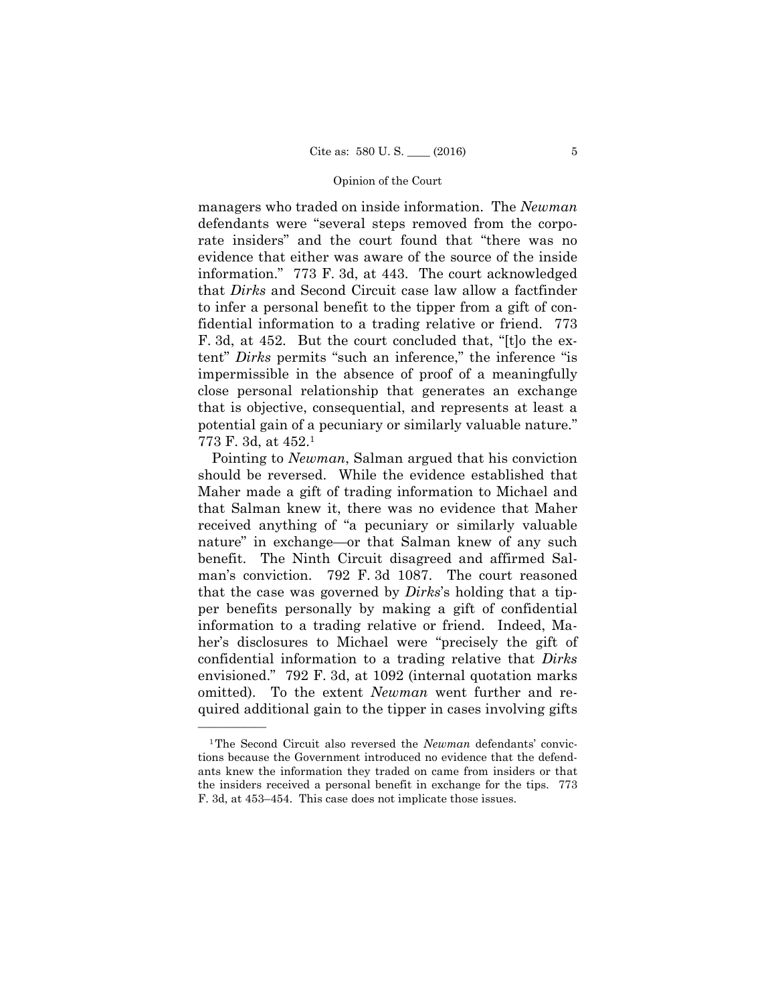managers who traded on inside information. The *Newman*  defendants were "several steps removed from the corporate insiders" and the court found that "there was no evidence that either was aware of the source of the inside information." 773 F. 3d, at 443. The court acknowledged that *Dirks* and Second Circuit case law allow a factfinder to infer a personal benefit to the tipper from a gift of confidential information to a trading relative or friend. 773 F. 3d, at 452. But the court concluded that, "[t]o the extent" *Dirks* permits "such an inference," the inference "is impermissible in the absence of proof of a meaningfully close personal relationship that generates an exchange that is objective, consequential, and represents at least a potential gain of a pecuniary or similarly valuable nature." 773 F. 3d, at 452.1

 Pointing to *Newman*, Salman argued that his conviction should be reversed. While the evidence established that Maher made a gift of trading information to Michael and that Salman knew it, there was no evidence that Maher received anything of "a pecuniary or similarly valuable nature" in exchange—or that Salman knew of any such benefit. The Ninth Circuit disagreed and affirmed Salman's conviction. 792 F. 3d 1087. The court reasoned that the case was governed by *Dirks*'s holding that a tipper benefits personally by making a gift of confidential information to a trading relative or friend. Indeed, Maher's disclosures to Michael were "precisely the gift of confidential information to a trading relative that *Dirks*  envisioned." 792 F. 3d, at 1092 (internal quotation marks omitted). To the extent *Newman* went further and required additional gain to the tipper in cases involving gifts

——————

<sup>1</sup>The Second Circuit also reversed the *Newman* defendants' convictions because the Government introduced no evidence that the defendants knew the information they traded on came from insiders or that the insiders received a personal benefit in exchange for the tips. 773 F. 3d, at 453–454. This case does not implicate those issues.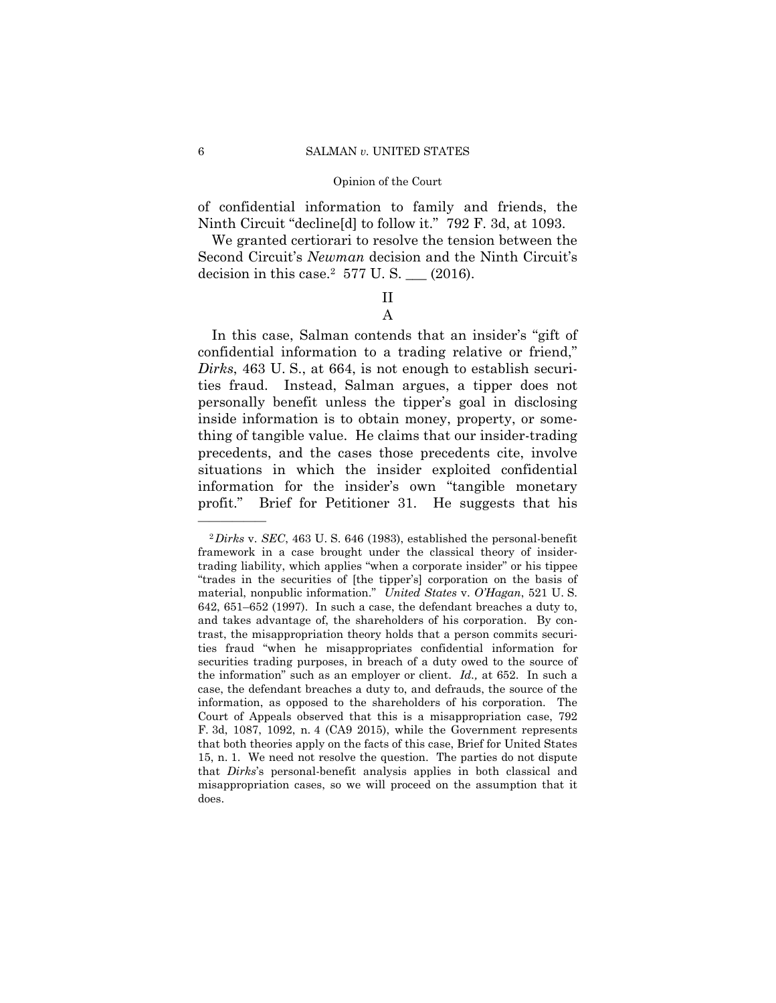of confidential information to family and friends, the Ninth Circuit "decline[d] to follow it." 792 F. 3d, at 1093.

We granted certiorari to resolve the tension between the Second Circuit's *Newman* decision and the Ninth Circuit's decision in this case.<sup>2</sup> 577 U.S.  $\qquad$  (2016).

# II A

In this case, Salman contends that an insider's "gift of confidential information to a trading relative or friend," *Dirks*, 463 U. S., at 664, is not enough to establish securities fraud. Instead, Salman argues, a tipper does not personally benefit unless the tipper's goal in disclosing inside information is to obtain money, property, or something of tangible value. He claims that our insider-trading precedents, and the cases those precedents cite, involve situations in which the insider exploited confidential information for the insider's own "tangible monetary profit." Brief for Petitioner 31. He suggests that his

——————

 misappropriation cases, so we will proceed on the assumption that it <sup>2</sup>*Dirks* v. *SEC*, 463 U. S. 646 (1983), established the personal-benefit framework in a case brought under the classical theory of insidertrading liability, which applies "when a corporate insider" or his tippee "trades in the securities of [the tipper's] corporation on the basis of material, nonpublic information." *United States* v. *O'Hagan*, 521 U. S. 642, 651–652 (1997). In such a case, the defendant breaches a duty to, and takes advantage of, the shareholders of his corporation. By contrast, the misappropriation theory holds that a person commits securities fraud "when he misappropriates confidential information for securities trading purposes, in breach of a duty owed to the source of the information" such as an employer or client. *Id.,* at 652. In such a case, the defendant breaches a duty to, and defrauds, the source of the information, as opposed to the shareholders of his corporation. The Court of Appeals observed that this is a misappropriation case, 792 F. 3d, 1087, 1092, n. 4 (CA9 2015), while the Government represents that both theories apply on the facts of this case, Brief for United States 15, n. 1. We need not resolve the question. The parties do not dispute that *Dirks*'s personal-benefit analysis applies in both classical and does.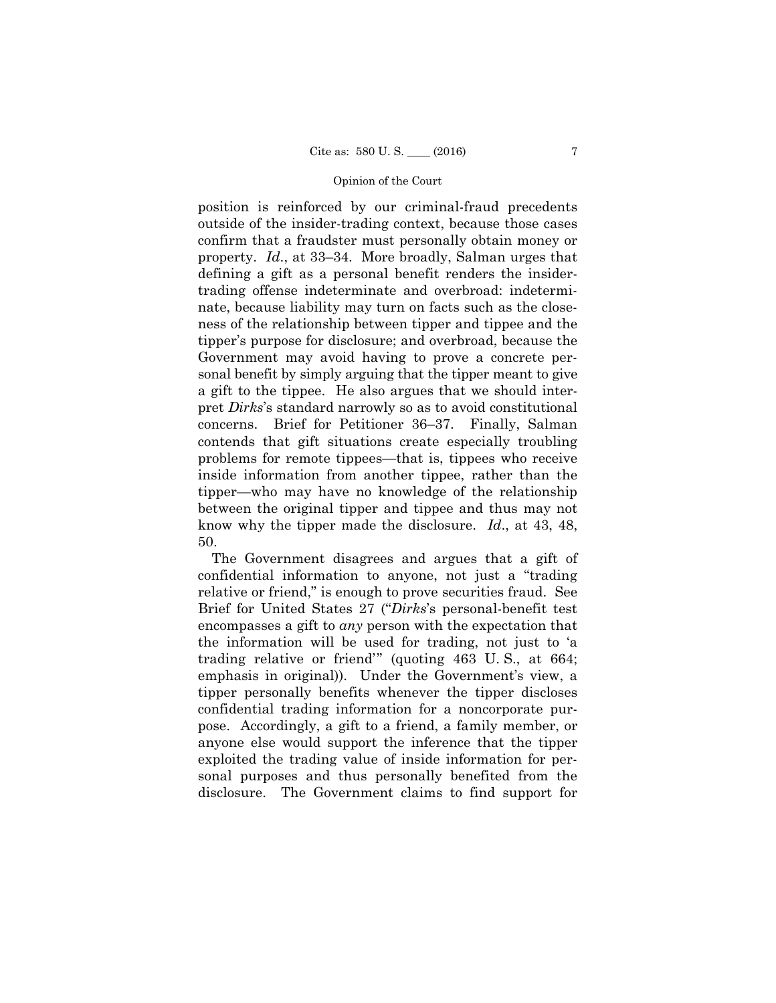position is reinforced by our criminal-fraud precedents outside of the insider-trading context, because those cases confirm that a fraudster must personally obtain money or property. *Id*., at 33–34. More broadly, Salman urges that defining a gift as a personal benefit renders the insidertrading offense indeterminate and overbroad: indeterminate, because liability may turn on facts such as the closeness of the relationship between tipper and tippee and the tipper's purpose for disclosure; and overbroad, because the Government may avoid having to prove a concrete personal benefit by simply arguing that the tipper meant to give a gift to the tippee. He also argues that we should interpret *Dirks*'s standard narrowly so as to avoid constitutional concerns. Brief for Petitioner 36–37. Finally, Salman contends that gift situations create especially troubling problems for remote tippees—that is, tippees who receive inside information from another tippee, rather than the tipper—who may have no knowledge of the relationship between the original tipper and tippee and thus may not know why the tipper made the disclosure. *Id*., at 43, 48, 50.

The Government disagrees and argues that a gift of confidential information to anyone, not just a "trading relative or friend," is enough to prove securities fraud. See Brief for United States 27 ("*Dirks*'s personal-benefit test encompasses a gift to *any* person with the expectation that the information will be used for trading, not just to 'a trading relative or friend'" (quoting 463 U. S., at 664; emphasis in original)). Under the Government's view, a tipper personally benefits whenever the tipper discloses confidential trading information for a noncorporate purpose. Accordingly, a gift to a friend, a family member, or anyone else would support the inference that the tipper exploited the trading value of inside information for personal purposes and thus personally benefited from the disclosure. The Government claims to find support for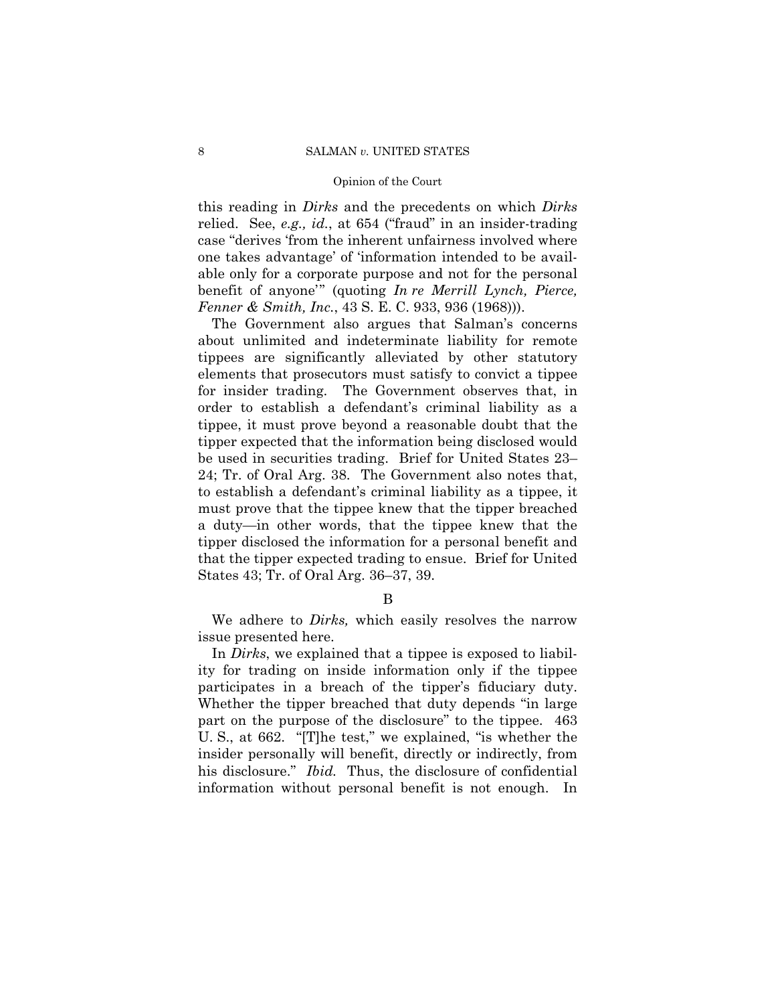this reading in *Dirks* and the precedents on which *Dirks*  relied. See, *e.g., id.*, at 654 ("fraud" in an insider-trading case "derives 'from the inherent unfairness involved where one takes advantage' of 'information intended to be available only for a corporate purpose and not for the personal benefit of anyone'" (quoting *In re Merrill Lynch, Pierce, Fenner & Smith, Inc.*, 43 S. E. C. 933, 936 (1968))).

 for insider trading. The Government observes that, in The Government also argues that Salman's concerns about unlimited and indeterminate liability for remote tippees are significantly alleviated by other statutory elements that prosecutors must satisfy to convict a tippee order to establish a defendant's criminal liability as a tippee, it must prove beyond a reasonable doubt that the tipper expected that the information being disclosed would be used in securities trading. Brief for United States 23– 24; Tr. of Oral Arg. 38. The Government also notes that, to establish a defendant's criminal liability as a tippee, it must prove that the tippee knew that the tipper breached a duty*—*in other words, that the tippee knew that the tipper disclosed the information for a personal benefit and that the tipper expected trading to ensue. Brief for United States 43; Tr. of Oral Arg. 36–37, 39.

# B

We adhere to *Dirks,* which easily resolves the narrow issue presented here.

 his disclosure." *Ibid.* Thus, the disclosure of confidential In *Dirks*, we explained that a tippee is exposed to liability for trading on inside information only if the tippee participates in a breach of the tipper's fiduciary duty. Whether the tipper breached that duty depends "in large part on the purpose of the disclosure" to the tippee. 463 U. S., at 662. "[T]he test," we explained, "is whether the insider personally will benefit, directly or indirectly, from information without personal benefit is not enough. In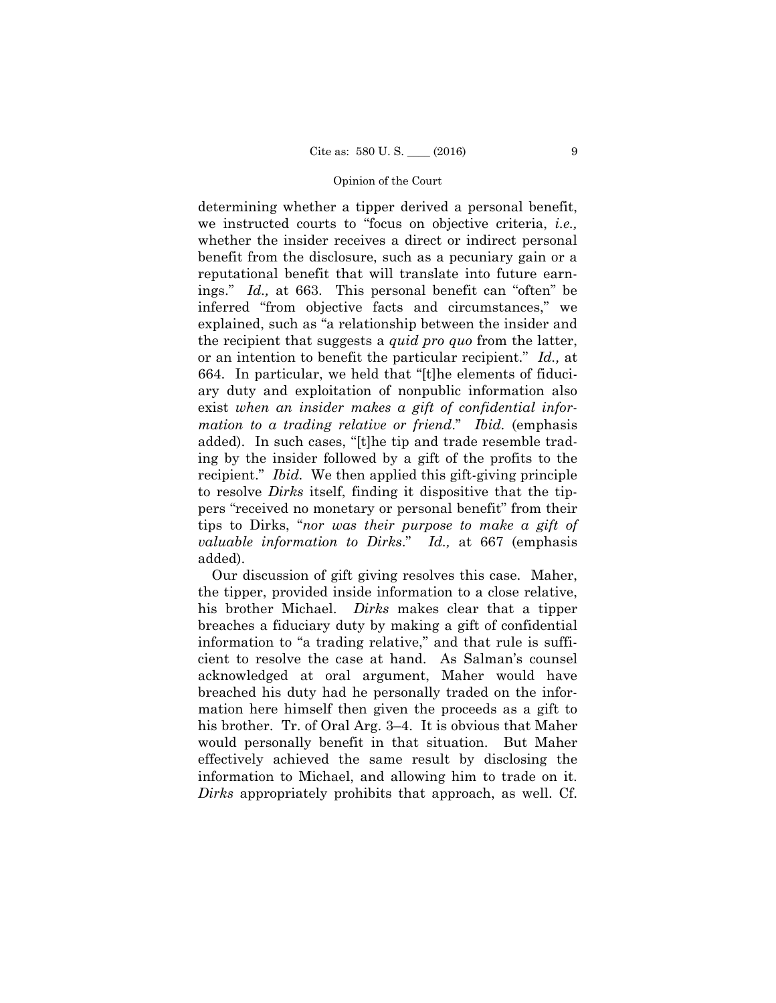determining whether a tipper derived a personal benefit, we instructed courts to "focus on objective criteria, *i.e.,*  whether the insider receives a direct or indirect personal benefit from the disclosure, such as a pecuniary gain or a reputational benefit that will translate into future earnings." *Id.,* at 663. This personal benefit can "often" be inferred "from objective facts and circumstances," we explained, such as "a relationship between the insider and the recipient that suggests a *quid pro quo* from the latter, or an intention to benefit the particular recipient." *Id.,* at 664. In particular, we held that "[t]he elements of fiduciary duty and exploitation of nonpublic information also exist *when an insider makes a gift of confidential information to a trading relative or friend*." *Ibid.* (emphasis added). In such cases, "[t]he tip and trade resemble trading by the insider followed by a gift of the profits to the recipient." *Ibid.* We then applied this gift-giving principle to resolve *Dirks* itself, finding it dispositive that the tippers "received no monetary or personal benefit" from their tips to Dirks, "*nor was their purpose to make a gift of valuable information to Dirks*." *Id.,* at 667 (emphasis added).

Our discussion of gift giving resolves this case. Maher, the tipper, provided inside information to a close relative, his brother Michael. *Dirks* makes clear that a tipper breaches a fiduciary duty by making a gift of confidential information to "a trading relative," and that rule is sufficient to resolve the case at hand. As Salman's counsel acknowledged at oral argument, Maher would have breached his duty had he personally traded on the information here himself then given the proceeds as a gift to his brother. Tr. of Oral Arg. 3–4. It is obvious that Maher would personally benefit in that situation. But Maher effectively achieved the same result by disclosing the information to Michael, and allowing him to trade on it. *Dirks* appropriately prohibits that approach, as well. Cf.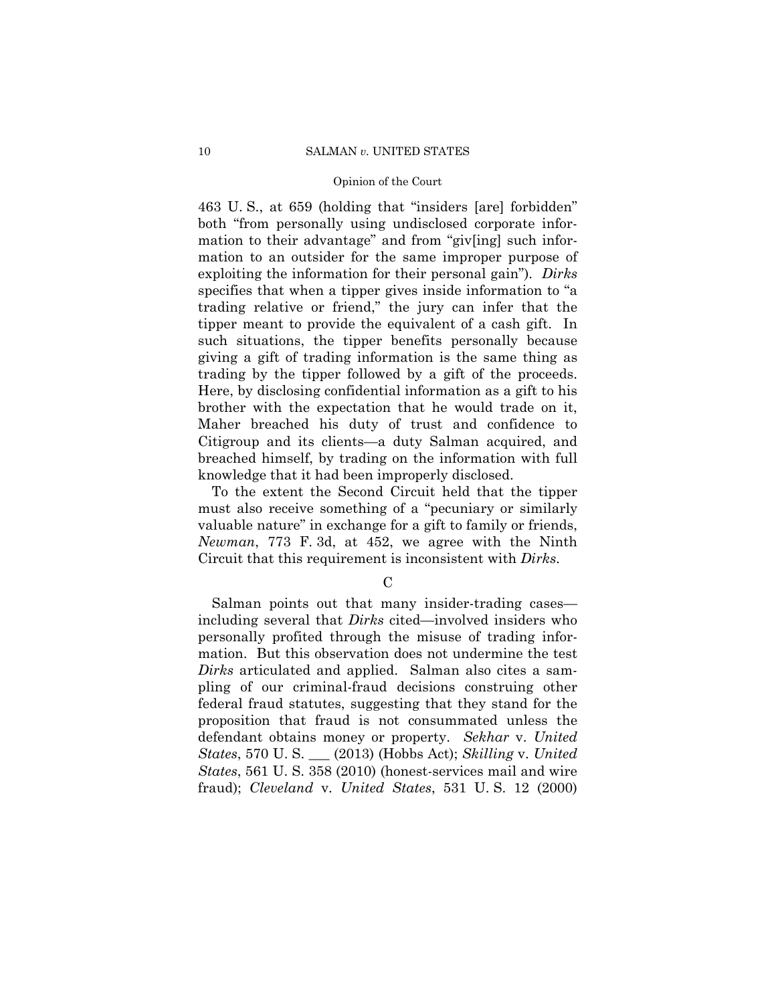#### 10 SALMAN *v.* UNITED STATES

#### Opinion of the Court

463 U. S., at 659 (holding that "insiders [are] forbidden" both "from personally using undisclosed corporate information to their advantage" and from "giv[ing] such information to an outsider for the same improper purpose of exploiting the information for their personal gain"). *Dirks*  specifies that when a tipper gives inside information to "a trading relative or friend," the jury can infer that the tipper meant to provide the equivalent of a cash gift. In such situations, the tipper benefits personally because giving a gift of trading information is the same thing as trading by the tipper followed by a gift of the proceeds. Here, by disclosing confidential information as a gift to his brother with the expectation that he would trade on it, Maher breached his duty of trust and confidence to Citigroup and its clients—a duty Salman acquired, and breached himself, by trading on the information with full knowledge that it had been improperly disclosed.

To the extent the Second Circuit held that the tipper must also receive something of a "pecuniary or similarly valuable nature" in exchange for a gift to family or friends, *Newman*, 773 F. 3d, at 452, we agree with the Ninth Circuit that this requirement is inconsistent with *Dirks*.

C

Salman points out that many insider-trading cases including several that *Dirks* cited—involved insiders who personally profited through the misuse of trading information. But this observation does not undermine the test *Dirks* articulated and applied. Salman also cites a sampling of our criminal-fraud decisions construing other federal fraud statutes, suggesting that they stand for the proposition that fraud is not consummated unless the defendant obtains money or property. *Sekhar* v. *United States*, 570 U. S. \_\_\_ (2013) (Hobbs Act); *Skilling* v. *United States*, 561 U. S. 358 (2010) (honest-services mail and wire fraud); *Cleveland* v. *United States*, 531 U. S. 12 (2000)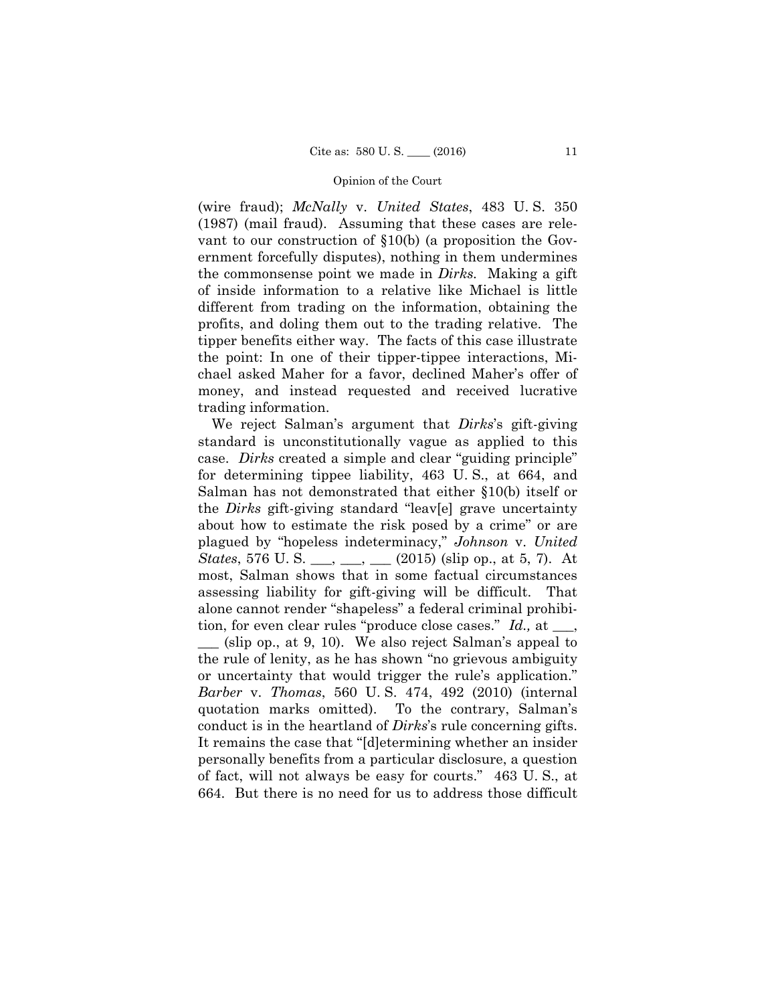the commonsense point we made in *Dirks.* Making a gift (wire fraud); *McNally* v. *United States*, 483 U. S. 350 (1987) (mail fraud). Assuming that these cases are relevant to our construction of §10(b) (a proposition the Government forcefully disputes), nothing in them undermines of inside information to a relative like Michael is little different from trading on the information, obtaining the profits, and doling them out to the trading relative. The tipper benefits either way. The facts of this case illustrate the point: In one of their tipper-tippee interactions, Michael asked Maher for a favor, declined Maher's offer of money, and instead requested and received lucrative trading information.

We reject Salman's argument that *Dirks*'s gift-giving standard is unconstitutionally vague as applied to this case. *Dirks* created a simple and clear "guiding principle" for determining tippee liability, 463 U. S., at 664, and Salman has not demonstrated that either §10(b) itself or the *Dirks* gift-giving standard "leav[e] grave uncertainty about how to estimate the risk posed by a crime" or are plagued by "hopeless indeterminacy," *Johnson* v. *United States*, 576 U.S. \_\_, \_\_, \_\_, (2015) (slip op., at 5, 7). At most, Salman shows that in some factual circumstances assessing liability for gift-giving will be difficult. That alone cannot render "shapeless" a federal criminal prohibition, for even clear rules "produce close cases." *Id.,* at \_\_\_,

\_\_\_ (slip op., at 9, 10). We also reject Salman's appeal to the rule of lenity, as he has shown "no grievous ambiguity or uncertainty that would trigger the rule's application." *Barber* v. *Thomas*, 560 U. S. 474, 492 (2010) (internal quotation marks omitted). To the contrary, Salman's conduct is in the heartland of *Dirks*'s rule concerning gifts. It remains the case that "[d]etermining whether an insider personally benefits from a particular disclosure, a question of fact, will not always be easy for courts." 463 U. S., at 664. But there is no need for us to address those difficult